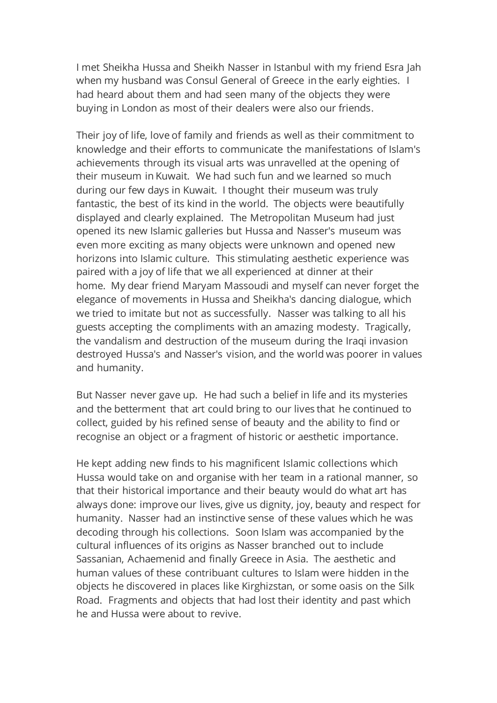I met Sheikha Hussa and Sheikh Nasser in Istanbul with my friend Esra Jah when my husband was Consul General of Greece in the early eighties. I had heard about them and had seen many of the objects they were buying in London as most of their dealers were also our friends.

Their joy of life, love of family and friends as well as their commitment to knowledge and their efforts to communicate the manifestations of Islam's achievements through its visual arts was unravelled at the opening of their museum in Kuwait. We had such fun and we learned so much during our few days in Kuwait. I thought their museum was truly fantastic, the best of its kind in the world. The objects were beautifully displayed and clearly explained. The Metropolitan Museum had just opened its new Islamic galleries but Hussa and Nasser's museum was even more exciting as many objects were unknown and opened new horizons into Islamic culture. This stimulating aesthetic experience was paired with a joy of life that we all experienced at dinner at their home. My dear friend Maryam Massoudi and myself can never forget the elegance of movements in Hussa and Sheikha's dancing dialogue, which we tried to imitate but not as successfully. Nasser was talking to all his guests accepting the compliments with an amazing modesty. Tragically, the vandalism and destruction of the museum during the Iraqi invasion destroyed Hussa's and Nasser's vision, and the world was poorer in values and humanity.

But Nasser never gave up. He had such a belief in life and its mysteries and the betterment that art could bring to our lives that he continued to collect, guided by his refined sense of beauty and the ability to find or recognise an object or a fragment of historic or aesthetic importance.

He kept adding new finds to his magnificent Islamic collections which Hussa would take on and organise with her team in a rational manner, so that their historical importance and their beauty would do what art has always done: improve our lives, give us dignity, joy, beauty and respect for humanity. Nasser had an instinctive sense of these values which he was decoding through his collections. Soon Islam was accompanied by the cultural influences of its origins as Nasser branched out to include Sassanian, Achaemenid and finally Greece in Asia. The aesthetic and human values of these contribuant cultures to Islam were hidden in the objects he discovered in places like Kirghizstan, or some oasis on the Silk Road. Fragments and objects that had lost their identity and past which he and Hussa were about to revive.